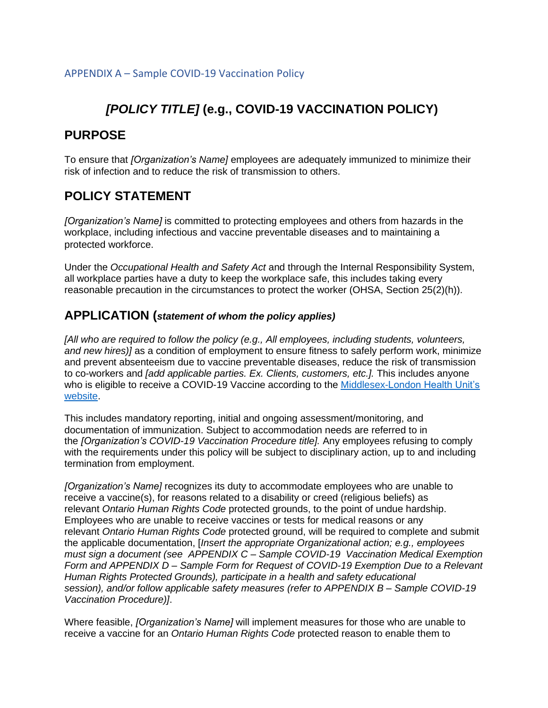# *[POLICY TITLE]* **(e.g., COVID-19 VACCINATION POLICY)**

### **PURPOSE**

To ensure that *[Organization's Name]* employees are adequately immunized to minimize their risk of infection and to reduce the risk of transmission to others.

# **POLICY STATEMENT**

*[Organization's Name]* is committed to protecting employees and others from hazards in the workplace, including infectious and vaccine preventable diseases and to maintaining a protected workforce.

Under the *Occupational Health and Safety Act* and through the Internal Responsibility System, all workplace parties have a duty to keep the workplace safe, this includes taking every reasonable precaution in the circumstances to protect the worker (OHSA, Section 25(2)(h)).

#### **APPLICATION (***statement of whom the policy applies)*

*[All who are required to follow the policy (e.g., All employees, including students, volunteers, and new hires)]* as a condition of employment to ensure fitness to safely perform work, minimize and prevent absenteeism due to vaccine preventable diseases, reduce the risk of transmission to co-workers and *[add applicable parties. Ex. Clients, customers, etc.].* This includes anyone who is eligible to receive a COVID-19 Vaccine according to the Middlesex-London Health Unit's [website.](https://www.healthunit.com/covid-19-vaccine-eligibility)

This includes mandatory reporting, initial and ongoing assessment/monitoring, and documentation of immunization. Subject to accommodation needs are referred to in the *[Organization's COVID-19 Vaccination Procedure title].* Any employees refusing to comply with the requirements under this policy will be subject to disciplinary action, up to and including termination from employment.

*[Organization's Name]* recognizes its duty to accommodate employees who are unable to receive a vaccine(s), for reasons related to a disability or creed (religious beliefs) as relevant *Ontario Human Rights Code* protected grounds, to the point of undue hardship. Employees who are unable to receive vaccines or tests for medical reasons or any relevant *Ontario Human Rights Code* protected ground, will be required to complete and submit the applicable documentation, [*Insert the appropriate Organizational action; e.g., employees must sign a document (see APPENDIX C – Sample COVID-19 Vaccination Medical Exemption Form and APPENDIX D – Sample Form for Request of COVID-19 Exemption Due to a Relevant Human Rights Protected Grounds), participate in a health and safety educational session), and/or follow applicable safety measures (refer to APPENDIX B – Sample COVID-19 Vaccination Procedure)]*.

Where feasible, *[Organization's Name]* will implement measures for those who are unable to receive a vaccine for an *Ontario Human Rights Code* protected reason to enable them to